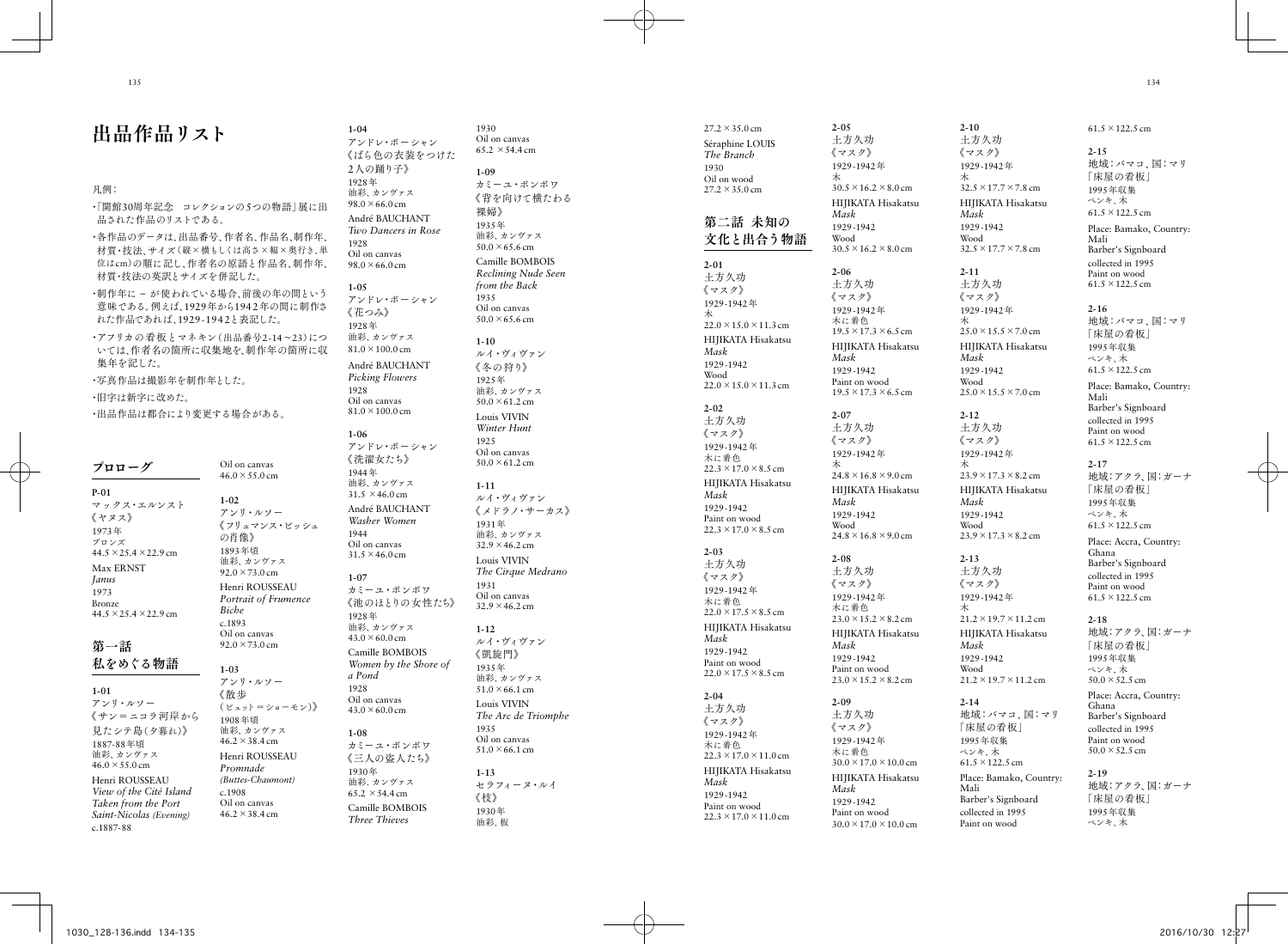# 出品作品リスト

### 凡例:

・「開館30周年記念 コレクションの 5つの物語」展に出 品された作品のリストである。

・各作品のデータは、出品番号、作者名、作品名、制作年、 材質·技法 サイズ(縦×構もしくは高さ×幅×奥行き、単 位はcm )の順に記し、作者名の原語と作品名、制作年、 材質・技法の英訳とサイズを併記した。

・制作年に – が使われている場合、前後の年の間という 意味である。例えば、1929年から1942年の間に制作さ れた作品であれば、1929-1942と表記した。

・アフリカの看板とマネキン(出品番号2-14 ~23 )につ いては、作者名の箇所に収集地を、制作年の箇所に収 集年を記した。

46.2 ×38.4 cm

・写真作品は撮影年を制作年とした。

・旧字は新字に改めた。

・出品作品は都合により変更する場合がある。

| プロローグ                                                                                                                      | Oil on canvas<br>$46.0 \times 55.0 \text{ cm}$                                                                     |
|----------------------------------------------------------------------------------------------------------------------------|--------------------------------------------------------------------------------------------------------------------|
| $P-01$<br>マックス・エルンスト<br>《ヤヌス》<br>1973年<br>ブロンズ<br>$44.5 \times 25.4 \times 22.9$ cm<br>Max ERNST                           | $1 - 02$<br>アンリ・ルソー<br>《フリュマンス・ビッシュ<br>の肖像》<br>1893年頃<br>油彩、カンヴァス<br>$92.0 \times 73.0 \text{ cm}$                 |
| Janus<br>1973<br><b>Bronze</b><br>$44.5 \times 25.4 \times 22.9$ cm<br>第一話                                                 | Henri ROUSSEAU<br>Portrait of Frumence<br><b>Biche</b><br>c.1893<br>Oil on canvas<br>$92.0 \times 73.0 \text{ cm}$ |
| 私をめぐる物語<br>$1 - 01$<br>アンリ・ルソー<br>《 サン=ニコラ河 岸 から<br>見たシテ島(夕暮れ)》                                                            | $1 - 0.3$<br>アンリ・ルソー<br>《散歩<br>(ビュット=ショーモン)》<br>1908年頃<br>油彩. カンヴァス                                                |
| 1887-88年頃<br>油彩、カンヴァス<br>$46.0 \times 55.0 \text{ cm}$<br>Henri ROUSSEAU<br>View of the Cité Island<br>Taken from the Port | $46.2 \times 38.4 \text{ cm}$<br>Henri ROUSSEAU<br>Promnade<br>(Buttes-Chaumont)<br>c.1908<br>Oil on canvas        |

*Saint-Nicolas (Evening)*

c.1887-88

《フリュマンス・ビッシュ *Portrait of Frumence*  アンドレ・ボーシャン 《ばら色の衣装をつけた 2人の踊り子》 1928 年 油彩、カンヴァス  $98.0 \times 66.0$  cm André BAUCHANT *Two Dancers in Rose* 1928 Oil on canvas  $98.0 \times 66.0$  cm **1-05** アンドレ・ボーシャン 《花つみ》 1928 年 油彩、カンヴァス 81.0 ×100.0 cm André BAUCHANT *Picking Flowers* 1928 Oil on canvas 81.0 ×100.0 cm **1-06** アンドレ・ボーシャン 《洗濯女たち》 1944 年 油彩、カンヴァス  $31.5 \times 46.0 \text{ cm}$ André BAUCHANT *Washer Women* 1944 Oil on canvas  $31.5 \times 46.0 \text{ cm}$ **1-07** カミーユ・ボンボワ 《池のほとりの女性たち》 1928 年 油彩、カンヴァス  $43.0 \times 60.0 \text{ cm}$ Camille BOMBOIS *Women by the Shore of a Pond* 1928 Oil on canvas  $43.0 \times 60.0 \text{ cm}$ **1-08** カミーユ・ボンボワ 《三人の盗人たち》 1930 年 油彩、カンヴァス  $65.2 \times 54.4 \text{ cm}$ Camille BOMBOIS *Three Thieves*

**1-04**

1930 Oil on canvas  $65.2 \times 54.4 \text{ cm}$ **1-09** カミーユ・ボンボワ 《背を向けて横たわる 裸婦》 1935 年 油彩、カンヴァス  $50.0 \times 65.6$  cm Camille BOMBOIS *Reclining Nude Seen from the Back* 1935 Oil on canvas  $50.0 \times 65.6$  cm **1-10** ルイ・ヴィヴァン 《冬の狩り》 1925 年 油彩、カンヴァス  $50.0 \times 61.2$  cm Louis VIVIN *Winter Hunt* 1925 Oil on canvas  $50.0 \times 61.2$  cm **1-11** ルイ・ヴィヴァン 《メドラノ・サーカス》 1931 年 油彩、カンヴァス 32.9 ×46.2 cm Louis VIVIN *The Cirque Medrano* 1931 Oil on canvas  $32.9 \times 46.2$  cm **1-12** ルイ・ヴィヴァン 《凱旋門》 1935 年 油彩、カンヴァス  $51.0 \times 66.1 \text{ cm}$ Louis VIVIN *The Arc de Triomphe* 1935 Oil on canvas  $51.0 \times 66.1 \text{ cm}$ **1-13** セラフィーヌ・ルイ 《枝》 1930 年 油彩、板

| $27.2 \times 35.0 \text{ cm}$<br>Séraphine LOUIS<br>The Branch<br>1930<br>Oil on wood<br>$27.2 \times 35.0 \text{ cm}$                                                                                                   |  |
|--------------------------------------------------------------------------------------------------------------------------------------------------------------------------------------------------------------------------|--|
| 第二話 未知の<br>文化と出合う物語                                                                                                                                                                                                      |  |
| $2 - 01$<br>土方久功<br>《マスク》<br>1929-1942年<br>木<br>$22.0 \times 15.0 \times 11.3$ cm<br>HIJIKATA Hisakatsu<br>Mask<br>1929-1942<br>Wood                                                                                     |  |
| $22.0 \times 15.0 \times 11.3$ cm<br>$2 - 02$<br>土方久功<br>《マスク》<br>1929-1942年<br>木に着色<br>$22.3 \times 17.0 \times 8.5$ cm<br>HIJIKATA Hisakatsu<br>Mask<br>1929-1942<br>Paint on wood<br>$22.3 \times 17.0 \times 8.5$ cm |  |
| $2 - 03$<br>土方久功<br>《マスク》<br>1929-1942年<br>木に着色<br>$22.0 \times 17.5 \times 8.5$ cm<br>HIJIKATA Hisakatsu<br>Mask<br>1929-1942<br>Paint on wood<br>$22.0 \times 17.5 \times 8.5$ cm                                      |  |
| $2 - 04$<br>土方久功<br>《マスク》<br>1929-1942年<br>木に着色<br>$22.3 \times 17.0 \times 11.0$ cm<br>HIJIKATA Hisakatsu<br>Mask<br>1929-1942<br>Paint on wood<br>$22.3 \times 17.0 \times 11.0$ cm                                    |  |

 $30.5 \times 16.2 \times 8.0$  cm HIJIKATA Hisakatsu  $30.5 \times 16.2 \times 8.0$  cm  $19.5 \times 17.3 \times 6.5$  cm HIJIKATA Hisakatsu Paint on wood  $19.5 \times 17.3 \times 6.5$  cm  $24.8 \times 16.8 \times 9.0$  cm HIJIKATA Hisakatsu  $24.8 \times 16.8 \times 9.0$  cm  $23.0 \times 15.2 \times 8.2$  cm HIJIKATA Hisakatsu **2-10** 土方久功 《マスク》 1929-1942 年 木  $32.5 \times 17.7 \times 7.8$  cm HIJIKATA Hisakatsu *Mask* 1929-1942 Wood  $32.5 \times 17.7 \times 7.8$  cm **2-11** 土方久功 《マスク》 1929-1942 年 木  $25.0 \times 15.5 \times 7.0$  cm HIJIKATA Hisakatsu *Mask* 1929-1942 Wood  $25.0 \times 15.5 \times 7.0$  cm **2-12** 土方久功 《マスク》 1929-1942 年 木  $23.9 \times 17.3 \times 8.2$  cm HIJIKATA Hisakatsu *Mask* 1929-1942 Wood  $23.9 \times 17.3 \times 8.2$  cm **2-13** 土方久功 《マスク》 1929-1942 年 木 21.2 ×19.7 ×11.2 cm HIJIKATA Hisakatsu *Mask* 1929-1942

Wood

**2-14**

Mali

「床屋の看板」 1995年収集 ペンキ、木 61.5 ×122.5 cm

Barber's Signboard collected in 1995 Paint on wood

**2-05** 土方久功 《マスク》 1929-1942 年 木

*Mask* 1929-1942 Wood

**2-06** 土方久功 《マスク》 1929-1942 年 木に着色

*Mask* 1929-1942

**2-07** 土方久功 《マスク》 1929-1942 年 木

*Mask* 1929-1942 Wood

**2-08** 土方久功 《マスク》 1929-1942 年 木に着色

*Mask* 1929-1942 Paint on wood  $23.0 \times 15.2 \times 8.2$  cm

**2-09** 土方久功 《マスク》 1929-1942 年 木に着色 30.0 ×17.0 ×10.0 cm HIJIKATA Hisakatsu

*Mask* 1929-1942 Paint on wood  $30.0 \times 17.0 \times 10.0$  cm

21.2 ×19.7 ×11.2 cm 地域:バマコ、国:マリ Place: Bamako, Country: 61.5 ×122.5 cm **2-15** 地域:バマコ、国:マリ 「床屋の看板」 1995年収集 ペンキ、木 61.5 ×122.5 cm Place: Bamako, Country: Mali Barber's Signboard collected in 1995 Paint on wood 61.5 ×122.5 cm **2-16** 地域:バマコ、国:マリ 「床屋の看板」 1995年収集 ペンキ、木 61.5 ×122.5 cm Place: Bamako, Country: Mali Barber's Signboard collected in 1995 Paint on wood 61.5 ×122.5 cm **2-17** 地域:アクラ、国:ガーナ 「床屋の看板」 1995年収集 ペンキ、木 61.5 ×122.5 cm Place: Accra, Country: Ghana Barber's Signboard collected in 1995 Paint on wood 61.5 ×122.5 cm **2-18** 地域:アクラ、国:ガーナ 「床屋の看板」 1995年収集 ペンキ、木  $50.0 \times 52.5$  cm Place: Accra, Country: Ghana Barber's Signboard collected in 1995 Paint on wood  $50.0 \times 52.5$  cm **2-19** 地域:アクラ、国:ガーナ 「床屋の看板」

> 1995年収集 ペンキ、木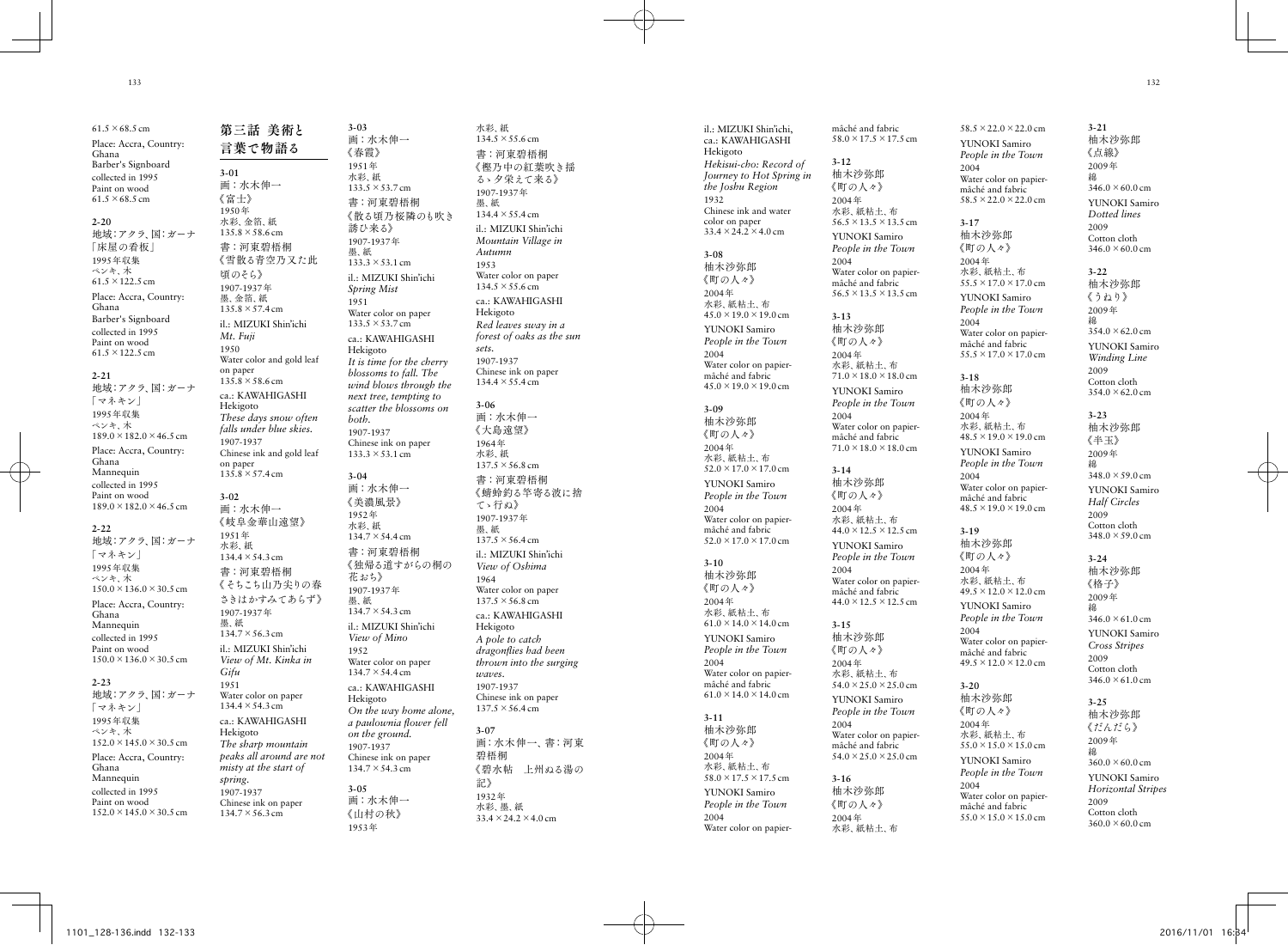**3-01**

1950 年

1950

**3-02**

1951 年

墨、紙

*Gifu* 1951

*spring.*

 $61.5 \times 68.5$  cm Place: Accra, Country: Ghana Barber's Signboard collected in 1995 Paint on wood  $61.5 \times 68.5$  cm **2-20** 地域:アクラ、国:ガーナ 「床屋の看板」 1995年収集 ペンキ、木 61.5 ×122.5 cm Place: Accra, Country: Ghana Barber's Signboard collected in 1995 Paint on wood 61.5 ×122.5 cm **2-21** 地域:アクラ、国:ガーナ 「マネキン」 1995年収集 ペンキ、木  $189.0 \times 182.0 \times 46.5$  cm Place: Accra, Country: Ghana Mannequin collected in 1995 Paint on wood 189.0 ×182.0 ×46.5 cm **2-22** 地域:アクラ、国:ガーナ 「マネキン」 1995年収集 ペンキ、木 150.0 ×136.0 ×30.5 cm Place: Accra, Country: Ghana Mannequin collected in 1995 Paint on wood 150.0 ×136.0 ×30.5 cm **2-23** 地域:アクラ、国:ガーナ 「マネキン」 1995年収集 ペンキ、木  $152.0 \times 145.0 \times 30.5$  cm Place: Accra, Country: Ghana Mannequin collected in 1995 Paint on wood  $152.0 \times 145.0 \times 30.5$  cm

第三話 美術と 言葉で物語る 画:水木伸一 《富士》 水彩、金箔、紙  $135.8 \times 58.6$  cm 書:河東碧梧桐 《雪散る青空乃又た此 頃のそら》 1907-1937 年 墨、金箔、紙  $135.8 \times 57.4 \text{ cm}$ il.: MIZUKI Shin'ichi *Mt. Fuji* Water color and gold leaf on paper  $135.8 \times 58.6$  cm ca.: KAWAHIGASHI Hekigoto *These days snow often falls under blue skies.* 1907-1937 Chinese ink and gold leaf on paper  $135.8 \times 57.4 \text{ cm}$ 画:水木伸一 《岐阜金華山遠望》 水彩、紙 134.4 ×54.3 cm 書:河東碧梧桐 《そちこち山乃尖りの春 さきはかすみてあらず》 1907-1937 年  $134.7 \times 56.3$  cm il.: MIZUKI Shin'ichi *View of Mt. Kinka in*  Water color on paper 134.4 ×54.3 cm ca.: KAWAHIGASHI Hekigoto *The sharp mountain peaks all around are not misty at the start of*  1907-1937 Chinese ink on paper  $134.7 \times 56.3$  cm **3-03** 画:水木伸一 《春霞》 1951 年 水彩、紙 133.5 ×53.7 cm 誘ひ来る》 1907-1937 年 墨、紙  $133.3 \times 53.1 \text{ cm}$ *Spring Mist* 1951 133.5 ×53.7 cm Hekigoto *both.* 1907-1937  $133.3 \times 53.1 \text{ cm}$ **3-04** 画:水木伸一 《美濃風景》 1952 年 水彩、紙 134.7 ×54.4 cm 花おち》 1907-1937 年 墨、紙 134.7 ×54.3 cm *View of Mino* 1952 134.7 ×54.4 cm Hekigoto *on the ground.* 1907-1937 134.7 ×54.3 cm **3-05** 画:水木伸一 《山村の秋》

1953 年

書:河東碧梧桐 《散る頃乃桜隣のも吹き il.: MIZUKI Shin'ichi Water color on paper ca.: KAWAHIGASHI *It is time for the cherry blossoms to fall. The wind blows through the next tree, tempting to scatter the blossoms on*  Chinese ink on paper 書:河東碧梧桐 《独帰る道すがらの桐の il.: MIZUKI Shin'ichi Water color on paper ca.: KAWAHIGASHI *On the way home alone, a paulownia flower fell*  Chinese ink on paper 水彩、紙  $134.5 \times 55.6$  cm 墨、紙 1953 *sets.* **3-06** 墨、紙 1964 *waves.* **3-07** 記》  $33.4 \times 24.2 \times 4.0$  cm

書:河東碧梧桐 《樫乃中の紅葉吹き揺 るゝ夕栄えて来る》 1907-1937 年  $134.4 \times 55.4 \text{ cm}$ il.: MIZUKI Shin'ichi *Mountain Village in Autumn* Water color on paper  $134.5 \times 55.6$  cm ca.: KAWAHIGASHI Hekigoto *Red leaves sway in a forest of oaks as the sun*  1907-1937 Chinese ink on paper 134.4 ×55.4 cm 画:水木伸一 《大島遠望》 1964 年 水彩、紙  $137.5 \times 56.8$  cm 書:河東碧梧桐 《蜻蛉釣る竿寄る波に捨 てゝ行ぬ》 1907-1937 年  $137.5 \times 56.4 \text{ cm}$ il.: MIZUKI Shin'ichi *View of Oshima* Water color on paper  $137.5 \times 56.8$  cm ca.: KAWAHIGASHI Hekigoto *A pole to catch dragonflies had been thrown into the surging*  1907-1937 Chinese ink on paper  $137.5 \times 56.4 \text{ cm}$ 画:水木伸一、書:河東 碧梧桐 《碧水帖 上州ぬる湯の 1932 年 水彩、墨、紙

il.: MIZUKI Shin'ichi, ca.: KAWAHIGASHI Hekigoto *Hekisui-cho: Record of Journey to Hot Spring in the Joshu Region* 1932 Chinese ink and water color on paper  $33.4 \times 24.2 \times 4.0$  cm **3-08** 柚木沙弥郎 《町の人々》 2004 年 水彩、紙粘土、布  $45.0 \times 19.0 \times 19.0$  cm YUNOKI Samiro *People in the Town* 2004 Water color on papiermâché and fabric  $45.0 \times 19.0 \times 19.0$  cm **3-09** 柚木沙弥郎 《町の人々》 2004 年 水彩、紙粘土、布  $52.0 \times 17.0 \times 17.0$  cm YUNOKI Samiro *People in the Town* 2004 Water color on papiermâché and fabric  $52.0 \times 17.0 \times 17.0$  cm **3-10** 柚木沙弥郎 《町の人々》 2004 年 水彩、紙粘土、布  $61.0 \times 14.0 \times 14.0$  cm YUNOKI Samiro *People in the Town* 2004 Water color on papiermâché and fabric  $61.0 \times 14.0 \times 14.0$  cm **3-11** 柚木沙弥郎 《町の人々》 2004 年 水彩、紙粘土、布 58.0 ×17.5 ×17.5 cm YUNOKI Samiro *People in the Town* 2004 Water color on papier-

mâché and fabric 58.0 ×17.5 ×17.5 cm 柚木沙弥郎 《町の人々》 水彩 紙粘土 布 56.5 × 13.5 × 13.5 cm YUNOKI Samiro *People in the Town* Water color on papiermâché and fabric 56.5 × 13.5 × 13.5 cm 柚木沙弥郎 《町の人々》 水彩、紙粘土、布  $71.0 \times 18.0 \times 18.0$  cm YUNOKI Samiro *People in the Town* Water color on papiermâché and fabric  $71.0 \times 18.0 \times 18.0$  cm 柚木沙弥郎 《町の人々》 水彩、紙粘土、布  $44.0 \times 12.5 \times 12.5$  cm YUNOKI Samiro *People in the Town* Water color on papiermâché and fabric  $44.0 \times 12.5 \times 12.5$  cm 柚木沙弥郎 《町の人々》 水彩、紙粘土、布  $54.0 \times 25.0 \times 25.0$  cm YUNOKI Samiro *People in the Town* Water color on papiermâché and fabric  $54.0 \times 25.0 \times 25.0$  cm 柚木沙弥郎 《町の人々》 水彩、紙粘土、布 YUNOKI Samiro 2004 mâché and fabric **3-17** 柚木沙弥郎 《町の人々》 2004 年 水彩、紙粘土、布 YUNOKI Samiro 2004 mâché and fabric **3-18** 柚木沙弥郎 《町の人々》 2004 年 水彩、紙粘土、布 YUNOKI Samiro 2004 mâché and fabric **3-19** 柚木沙弥郎 《町の人々》 2004 年 水彩、紙粘土、布 YUNOKI Samiro 2004 mâché and fabric **3-20** 柚木沙弥郎 《町の人々》 2004 年 水彩、紙粘土、布 YUNOKI Samiro 2004 Water color on papiermâché and fabric  $55.0 \times 15.0 \times 15.0$  cm

**3-12**

2004 年

2004

**3-13**

2004 年

2004

**3-14**

2004 年

2004

**3-15**

2004 年

2004

**3-16**

2004 年

 $58.5 \times 22.0 \times 22.0$  cm *People in the Town* Water color on papier- $58.5 \times 22.0 \times 22.0$  cm  $55.5 \times 17.0 \times 17.0$  cm *People in the Town* Water color on papier- $55.5 \times 17.0 \times 17.0$  cm  $48.5 \times 19.0 \times 19.0$  cm *People in the Town* Water color on papier- $48.5 \times 19.0 \times 19.0$  cm  $49.5 \times 12.0 \times 12.0$  cm *People in the Town* Water color on papier-**3-21** 柚木沙弥郎 《点線》 2009 年 綿  $346.0 \times 60.0$  cm YUNOKI Samiro *Dotted lines* 2009 Cotton cloth  $346.0 \times 60.0$  cm **3-22** 柚木沙弥郎 《うねり》 2009 年 綿  $354.0 \times 62.0$  cm YUNOKI Samiro *Winding Line* 2009 **3-23** 《半玉》 2009 年 綿 2009 **3-24** 柚木沙弥郎 《格子》 2009 年 綿  $346.0 \times 61.0$  cm YUNOKI Samiro 2009 Cotton cloth

*Cross Stripes*  $346.0 \times 61.0$  cm 柚木沙弥郎 《だんだら》 2009 年  $360.0 \times 60.0$  cm YUNOKI Samiro *Horizontal Stripes* 2009 Cotton cloth  $360.0 \times 60.0$  cm

Cotton cloth  $354.0 \times 62.0$  cm 柚木沙弥郎

 $348.0 \times 59.0 \text{ cm}$ YUNOKI Samiro *Half Circles* Cotton cloth  $348.0 \times 59.0$  cm

 $49.5 \times 12.0 \times 12.0$  cm  $55.0 \times 15.0 \times 15.0$  cm *People in the Town* **3-25** 綿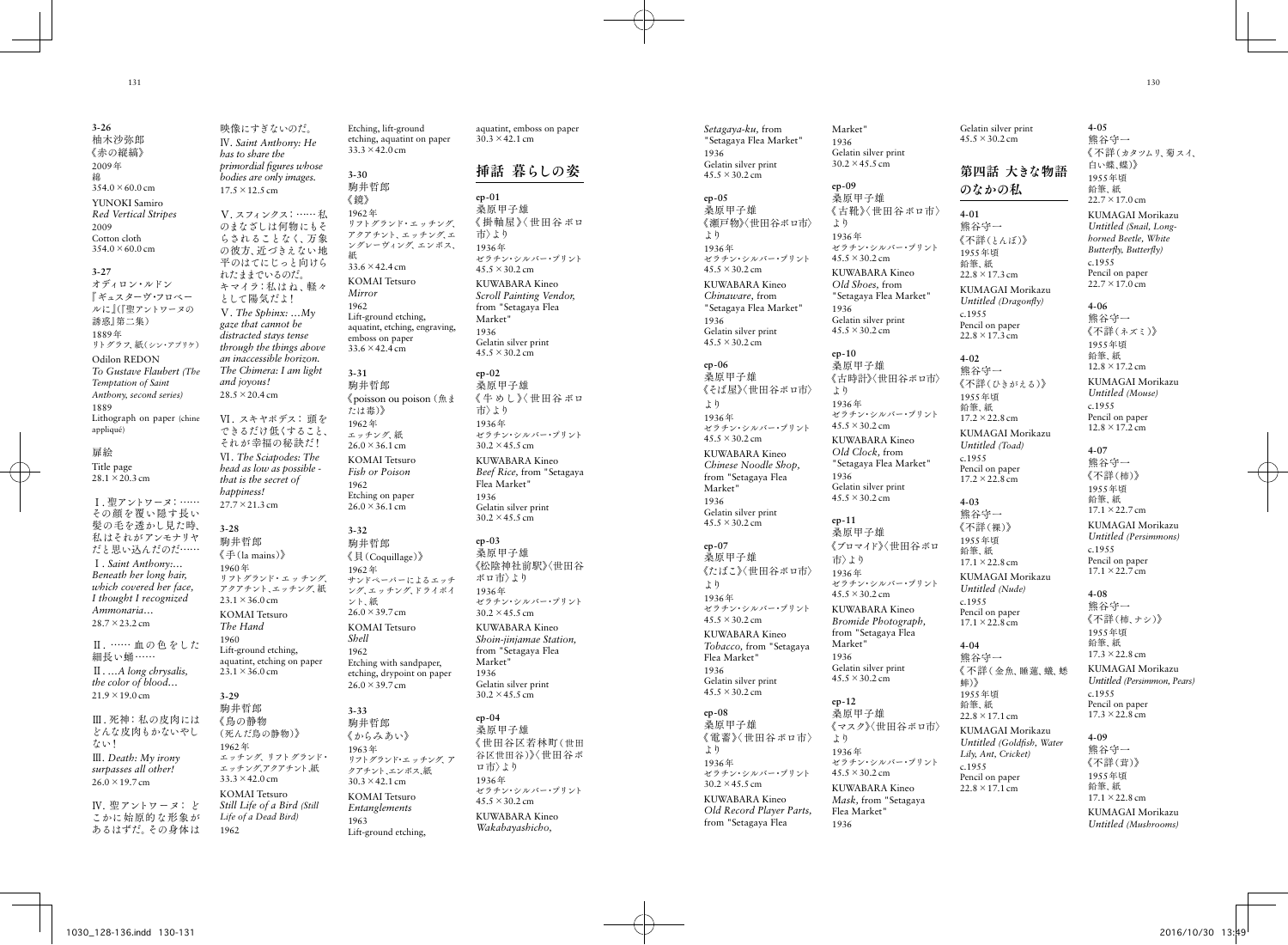17.5 ×12.5 cm

*and joyous!*  $28.5 \times 20.4 \text{ cm}$ 

*happiness!* 27.7 ×21.3 cm

**3-28** 駒井哲郎

1960 年

 $23.1 \times 36.0 \text{ cm}$ 

 $23.1 \times 36.0 \text{ cm}$ 

**3-29** 駒井哲郎 《鳥の静物

1962 年

1962

 $33.3 \times 42.0 \text{ cm}$ 

*The Hand* 1960

**3-26** 柚木沙弥郎 《赤の縦縞》 2009 年 綿  $354.0 \times 60.0$  cm YUNOKI Samiro *Red Vertical Stripes* 2009 Cotton cloth  $354.0 \times 60.0$  cm **3-27** オディロン・ルドン 『ギュスターヴ・フロベー ルに』(『聖アントワーヌの 誘惑』第二集) 1889 年 リトグラフ、紙(シン・アプリケ) Odilon REDON *To Gustave Flaubert (The Temptation of Saint Anthony, second series)* 1889 Lithograph on paper (chine appliqué) 扉絵 Title page 28.1 ×20.3 cm Ⅰ. 聖アントワーヌ:…… その顔を覆い隠す長い 髪の毛を透かし見た時、 私はそれがアンモナリヤ だと思い込んだのだ…… Ⅰ*. Saint Anthony:… Beneath her long hair, which covered her face, I thought I recognized Ammonaria…* 28.7 ×23.2 cm Ⅱ. …… 血の色をした 細長い蛹…… Ⅱ. *…A long chrysalis, the color of blood…*  $21.9 \times 19.0 \text{ cm}$ Ⅲ. 死神:私の皮肉には どんな皮肉もかないやし ない!

Ⅲ*. Death: My irony surpasses all other!* 26.0 ×19.7 cm

Ⅳ. 聖アントワーヌ: ど こかに始原的な形象が あるはずだ。その身体は

映像にすぎないのだ。 Ⅳ*. Saint Anthony: He has to share the primordial figures whose bodies are only images.* Ⅴ. スフィンクス:……私 のまなざしは何物にもそ らされることなく、万象 の彼方. 近づきえない地 平のはてにじっと向けら れたままでいるのだ。 キマイラ:私はね、軽々 として陽気だよ! Ⅴ*. The Sphinx: …My gaze that cannot be distracted stays tense through the things above an inaccessible horizon. The Chimera: I am light*  Ⅵ. スキヤポデス: 頭を できるだけ低くすること、 それが幸福の秘訣だ! Ⅵ*. The Sciapodes: The head as low as possible that is the secret of*  《手 (la mains ) 》 リフトグランド・エッチング、 アクアチント、エッチング、紙 KOMAI Tetsuro Lift-ground etching, aquatint, etching on paper (死んだ鳥の静物)》 エッチング、リフトグランド・ エッチング、アクアチント、紙 KOMAI Tetsuro *Still Life of a Bird (Still Life of a Dead Bird)* Etching, lift-ground etching, aquatint on paper  $33.3 \times 42.0 \text{ cm}$ **3-30** 駒井哲郎 《鏡》 1962 年 リフトグランド・エッチング、 アクアチント、エッチング、エ ングレーヴィング、エンボス、 紙 33.6 ×42.4 cm KOMAI Tetsuro *Mirror* 1962 Lift-ground etching, aquatint, etching, engraving, emboss on paper 33.6 ×42.4 cm **3-31** 駒井哲郎 《poisson ou poison(魚ま たは毒) 》 1962 年 エッチング、紙  $26.0 \times 36.1 \text{ cm}$ KOMAI Tetsuro *Fish or Poison* 1962 Etching on paper  $26.0 \times 36.1 \text{ cm}$ **3-32** 駒井哲郎 《貝 (Coquillage ) 》 1962 年 サンドペーパーによるエッチ ング、エッチング、ドライポイ ント、紙 26.0 ×39.7 cm KOMAI Tetsuro *Shell* 1962 Etching with sandpaper, etching, drypoint on paper 26.0 ×39.7 cm **3-33** 駒井哲郎 《からみあい》 1963 年 リフトグランド・エッチング、ア クアチント、エンボス、紙  $30.3 \times 42.1$  cm KOMAI Tetsuro *Entanglements* 1963 Lift-ground etching,

aquatint, emboss on paper 30.3 ×42.1 cm

# 挿話 暮らしの姿

**ep-01** 桑原甲子雄 《 掛軸屋》〈 世田谷ボロ 市〉より 1936 年 ゼラチン・シルバー・プリント 45.5 ×30.2 cm KUWABARA Kineo *Scroll Painting Vendor,*  from "Setagaya Flea Market" 1936 Gelatin silver print 45.5 ×30.2 cm **ep-02**

桑原甲子雄 《 牛めし》〈 世田谷ボロ 市〉より 1936 年 ゼラチン・シルバー・プリント 30.2 ×45.5 cm KUWABARA Kineo *Beef Rice,* from "Setagaya Flea Market" 1936 Gelatin silver print  $30.2 \times 45.5$  cm **ep-03**

桑原甲子雄 《松陰神社前駅》〈世田谷 ボロ市〉より 1936 年 ゼラチン・シルバー・プリント 30.2 ×45.5 cm KUWABARA Kineo *Shoin-jinjamae Station,*  from "Setagaya Flea Market" 1936 Gelatin silver print 30.2 ×45.5 cm

**ep-04** 桑原甲子雄 《世田谷区若林町(世田 谷区世田谷)》〈世田谷ボ ロ市〉より 1936 年 ゼラチン・シルバー・プリント 45.5 ×30.2 cm KUWABARA Kineo *Wakabayashicho,* 

1936 Gelatin silver print  $45.5 \times 30.2$  cm **ep-05** 桑原甲子雄 《瀬戸物》〈世田谷ボロ市〉 より 1936 年 ゼラチン・シルバー・プリント  $45.5 \times 30.2$  cm KUWABARA Kineo *Chinaware,* from "Setagaya Flea Market" 1936 Gelatin silver print  $45.5 \times 30.2$  cm **ep-06** 桑原甲子雄 《そば屋》〈世田谷ボロ市〉 より 1936 年 ゼラチン・シルバー・プリント  $45.5 \times 30.2$  cm KUWABARA Kineo *Chinese Noodle Shop,*  from "Setagaya Flea Market" 1936 Gelatin silver print  $45.5 \times 30.2$  cm **ep-07** 桑原甲子雄 《たばこ》〈世田谷ボロ市〉 より 1936 年 ゼラチン・シルバー・プリント  $45.5 \times 30.2$  cm KUWABARA Kineo *Tobacco,* from "Setagaya Flea Market" 1936 Gelatin silver print  $45.5 \times 30.2$  cm **ep-08** 桑原甲子雄 《電蓄》〈世田谷ボロ市〉 より 1936 年 ゼラチン・シルバー・プリント 30.2 ×45.5 cm KUWABARA Kineo *Old Record Player Parts,*  from "Setagaya Flea

*Setagaya-ku,* from "Setagaya Flea Market" Market" 1936 Gelatin silver print 30.2 ×45.5 cm

#### **ep-09** 桑原甲子雄 《古靴》〈世田谷ボロ市〉 より 1936 年 ゼラチン・シルバー・プリント  $45.5 \times 30.2$  cm

1936

より

KUWABARA Kineo *Old Shoes,* from "Setagaya Flea Market" Gelatin silver print  $45.5 \times 30.2$  cm **ep-10** 桑原甲子雄 《古時計》〈世田谷ボロ市〉 1936 年 ゼラチン・シルバー・プリント  $45.5 \times 30.2$  cm KUWABARA Kineo **4-02** 熊谷守一 1955年頃 鉛筆、紙 KUMAGAI Morikazu *Untitled (Toad)* c.1955

*Old Clock,* from "Setagaya Flea Market" 1936 Gelatin silver print  $45.5 \times 30.2$  cm

**ep-11** 桑原甲子雄 《ブロマイド》〈世田谷ボロ 市〉より 1936 年 ゼラチン・シルバー・プリント

 $45.5 \times 30.2$  cm KUWABARA Kineo *Bromide Photograph,*  from "Setagaya Flea Market" 1936

Gelatin silver print  $45.5 \times 30.2$  cm **ep-12**

桑原甲子雄 《マスク》〈世田谷ボロ市〉 より 1936 年 ゼラチン・シルバー・プリント  $45.5 \times 30.2$  cm KUWABARA Kineo *Mask,* from "Setagaya Flea Market" 1936

Gelatin silver print 45.5 ×30.2 cm

## 第四話 大きな物語 のなかの私

**4-01** 熊谷守一 《不詳(とんぼ) 》 1955年頃 鉛筆、紙 22.8 ×17.3 cm KUMAGAI Morikazu *Untitled (Dragonfly)* c.1955 Pencil on paper

22.8 ×17.3 cm

17.2 ×22.8 cm

Pencil on paper 17.2 ×22.8 cm

**4-03** 熊谷守一 《不詳(裸) 》 1955年頃 鉛筆、紙 17.1 ×22.8 cm KUMAGAI Morikazu *Untitled (Nude)* c.1955 Pencil on paper 17.1 ×22.8 cm

**4-04** 熊谷守一

蟀) 》 1955年頃 鉛筆、紙

c.1955

《不詳(ひきがえる) 》 《不詳(ネズミ) 》 1955年頃 鉛筆、紙  $12.8 \times 17.2$  cm KUMAGAI Morikazu *Untitled (Mouse)* c.1955

**4-07**

Pencil on paper 12.8 ×17.2 cm

熊谷守一 《不詳(柿) 》 1955年頃 鉛筆、紙 17.1 ×22.7 cm KUMAGAI Morikazu *Untitled (Persimmons)* c.1955

Pencil on paper 17.1 ×22.7 cm **4-08** 熊谷守一

《不詳( 金魚、睡蓮、蟻、蟋 《不詳(柿、ナシ) 》 1955年頃 鉛筆、紙 17.3 ×22.8 cm

KUMAGAI Morikazu *Untitled (Persimmon, Pears)* c.1955 Pencil on paper 17.3 ×22.8 cm

 $22.8 \times 17.1 \text{ cm}$ KUMAGAI Morikazu *Untitled (Goldfish, Water Lily, Ant, Cricket)* Pencil on paper  $22.8 \times 17.1 \text{ cm}$ **4-09** 熊谷守一 《不詳(茸) 》 1955年頃 鉛筆、紙

17.1 ×22.8 cm KUMAGAI Morikazu

*Untitled (Mushrooms)*

《不詳(カタツムリ、菊スイ、

**4-05** 熊谷守一

白い蝶、蝶)》 1955年頃 鉛筆、紙  $22.7 \times 17.0$  cm KUMAGAI Morikazu *Untitled (Snail, Longhorned Beetle, White Butterfly, Butterfly)* c.1955 Pencil on paper 22.7 ×17.0 cm **4-06** 熊谷守一